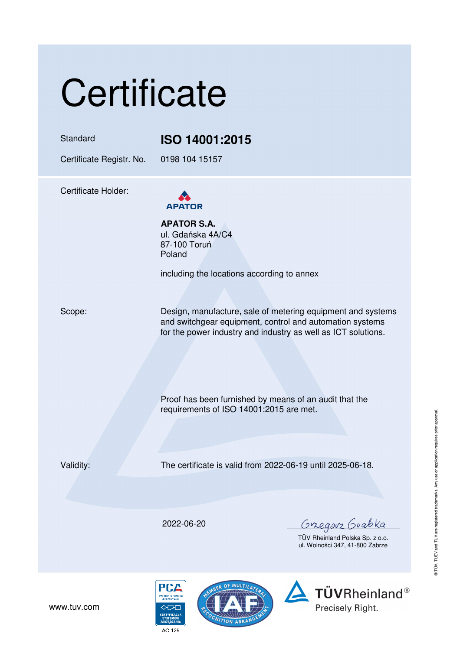# **Certificate**

### Standard **ISO 14001:2015**

Certificate Registr. No. 0198 104 15157

Certificate Holder:



**APATOR S.A.**  ul. Gdańska 4A/C4 87-100 Toruń Poland

including the locations according to annex

Scope: Design, manufacture, sale of metering equipment and systems and switchgear equipment, control and automation systems for the power industry and industry as well as ICT solutions.

> Proof has been furnished by means of an audit that the requirements of ISO 14001:2015 are met.

Validity: The certificate is valid from 2022-06-19 until 2025-06-18.

2022-06-20

<u>Gregorz</u> Guabka

TÜV Rheinland Polska Sp. z o.o. ul. Wolności 347, 41-800 Zabrze



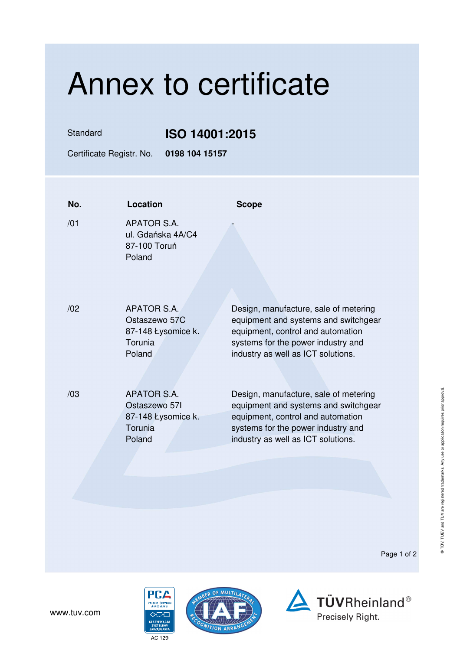## Annex to certificate

Standard **ISO 14001:2015** 

Certificate Registr. No. **0198 104 15157** 

| No. | Location                                                                       | <b>Scope</b>                                                                                                                                                                                   |
|-----|--------------------------------------------------------------------------------|------------------------------------------------------------------------------------------------------------------------------------------------------------------------------------------------|
| /01 | APATOR S.A.<br>ul. Gdańska 4A/C4<br>87-100 Toruń<br>Poland                     |                                                                                                                                                                                                |
| /02 | APATOR S.A.<br>Ostaszewo 57C<br>87-148 Łysomice k.<br>Torunia<br>Poland        | Design, manufacture, sale of metering<br>equipment and systems and switchgear<br>equipment, control and automation<br>systems for the power industry and<br>industry as well as ICT solutions. |
| /03 | <b>APATOR S.A.</b><br>Ostaszewo 571<br>87-148 Łysomice k.<br>Torunia<br>Poland | Design, manufacture, sale of metering<br>equipment and systems and switchgear<br>equipment, control and automation<br>systems for the power industry and<br>industry as well as ICT solutions. |

Page 1 of 2